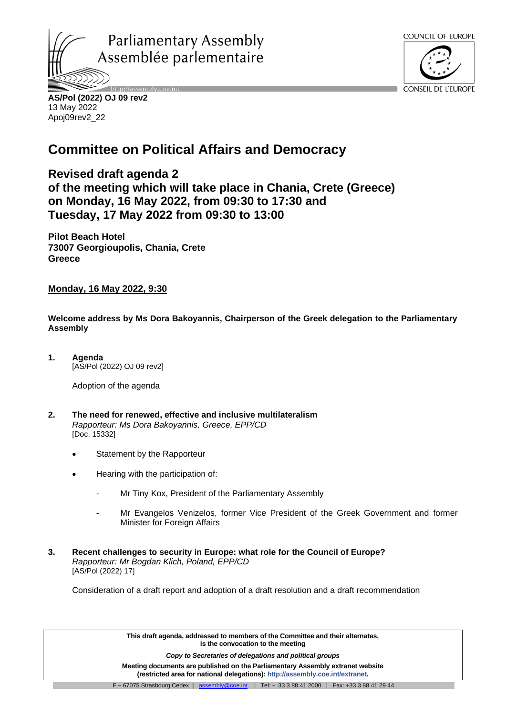



CONSEIL DE L'EUROPE

**AS/Pol (2022) OJ 09 rev2** 13 May 2022 Apoj09rev2\_22

# **Committee on Political Affairs and Democracy**

**Revised draft agenda 2 of the meeting which will take place in Chania, Crete (Greece) on Monday, 16 May 2022, from 09:30 to 17:30 and Tuesday, 17 May 2022 from 09:30 to 13:00**

**Pilot Beach Hotel 73007 Georgioupolis, Chania, Crete Greece**

**Monday, 16 May 2022, 9:30**

**Welcome address by Ms Dora Bakoyannis, Chairperson of the Greek delegation to the Parliamentary Assembly**

**1. Agenda** [AS/Pol (2022) OJ 09 rev2]

Adoption of the agenda

- **2. The need for renewed, effective and inclusive multilateralism** *Rapporteur: Ms Dora Bakoyannis, Greece, EPP/CD* [\[Doc. 15332\]](https://pace.coe.int/en/files/29369)
	- Statement by the Rapporteur
	- Hearing with the participation of:
		- Mr Tiny Kox, President of the Parliamentary Assembly
		- Mr Evangelos Venizelos, former Vice President of the Greek Government and former Minister for Foreign Affairs
- **3. Recent challenges to security in Europe: what role for the Council of Europe?** *Rapporteur: Mr Bogdan Klich, Poland, EPP/CD* [AS/Pol (2022) 17]

Consideration of a draft report and adoption of a draft resolution and a draft recommendation

**This draft agenda, addressed to members of the Committee and their alternates, is the convocation to the meeting**

*Copy to Secretaries of delegations and political groups* 

**Meeting documents are published on the Parliamentary Assembly extranet website (restricted area for national delegations): [http://assembly.coe.int/extranet.](http://assembly.coe.int/extranet)**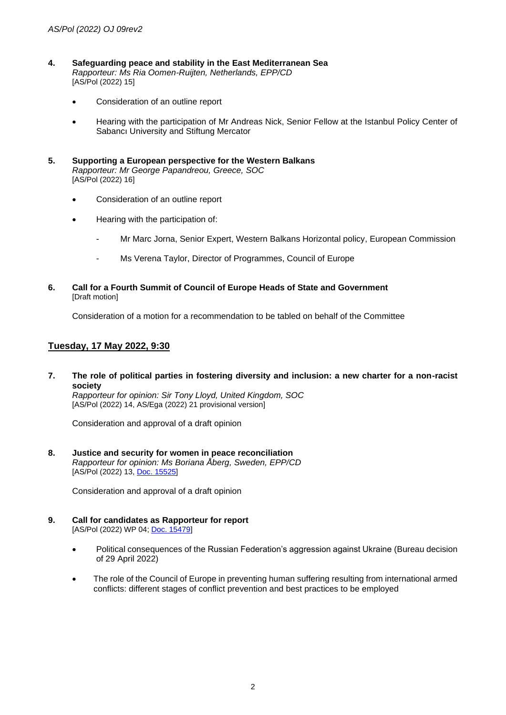- **4. Safeguarding peace and stability in the East Mediterranean Sea** *Rapporteur: Ms Ria Oomen-Ruijten, Netherlands, EPP/CD* [AS/Pol (2022) 15]
	- Consideration of an outline report
	- Hearing with the participation of Mr Andreas Nick, Senior Fellow at the Istanbul Policy Center of Sabancı University and Stiftung Mercator
- **5. Supporting a European perspective for the Western Balkans** *Rapporteur: Mr George Papandreou, Greece, SOC* [AS/Pol (2022) 16]
	- Consideration of an outline report
	- Hearing with the participation of:
		- Mr Marc Jorna, Senior Expert, Western Balkans Horizontal policy, European Commission
		- Ms Verena Taylor, Director of Programmes, Council of Europe
- **6. Call for a Fourth Summit of Council of Europe Heads of State and Government** [Draft motion]

Consideration of a motion for a recommendation to be tabled on behalf of the Committee

# **Tuesday, 17 May 2022, 9:30**

**7. The role of political parties in fostering diversity and inclusion: a new charter for a non-racist society**

*Rapporteur for opinion: Sir Tony Lloyd, United Kingdom, SOC* [AS/Pol (2022) 14, AS/Ega (2022) 21 provisional version]

Consideration and approval of a draft opinion

**8. Justice and security for women in peace reconciliation** *Rapporteur for opinion: Ms Boriana Åberg, Sweden, EPP/CD* [AS/Pol (2022) 13, [Doc. 15525\]](https://pace.coe.int/en/files/30026)

Consideration and approval of a draft opinion

- **9. Call for candidates as Rapporteur for report** [AS/Pol (2022) WP 04; [Doc. 15479\]](https://pace.coe.int/en/files/29883)
	- Political consequences of the Russian Federation's aggression against Ukraine (Bureau decision of 29 April 2022)
	- The role of the Council of Europe in preventing human suffering resulting from international armed conflicts: different stages of conflict prevention and best practices to be employed